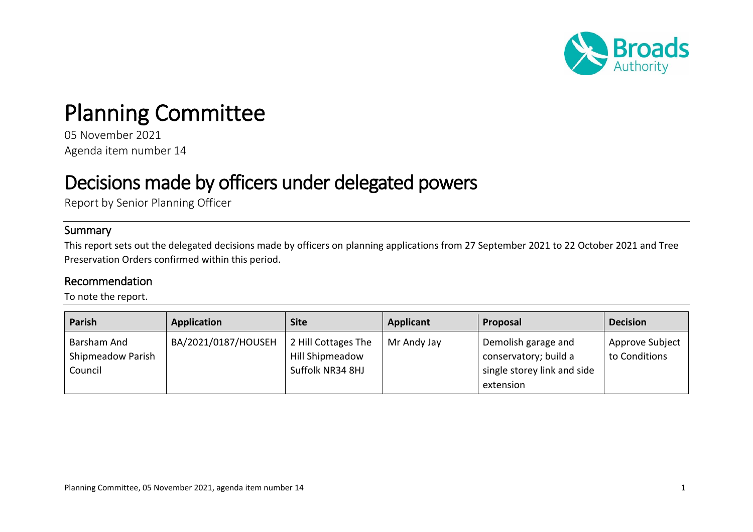

## Planning Committee

05 November 2021 Agenda item number 14

## Decisions made by officers under delegated powers

Report by Senior Planning Officer

## Summary

This report sets out the delegated decisions made by officers on planning applications from 27 September 2021 to 22 October 2021 and Tree Preservation Orders confirmed within this period.

## Recommendation

To note the report.

| Parish                                      | <b>Application</b>  | Site                                                              | <b>Applicant</b> | Proposal                                                                                 | <b>Decision</b>                  |
|---------------------------------------------|---------------------|-------------------------------------------------------------------|------------------|------------------------------------------------------------------------------------------|----------------------------------|
| Barsham And<br>Shipmeadow Parish<br>Council | BA/2021/0187/HOUSEH | 2 Hill Cottages The<br><b>Hill Shipmeadow</b><br>Suffolk NR34 8HJ | Mr Andy Jay      | Demolish garage and<br>conservatory; build a<br>single storey link and side<br>extension | Approve Subject<br>to Conditions |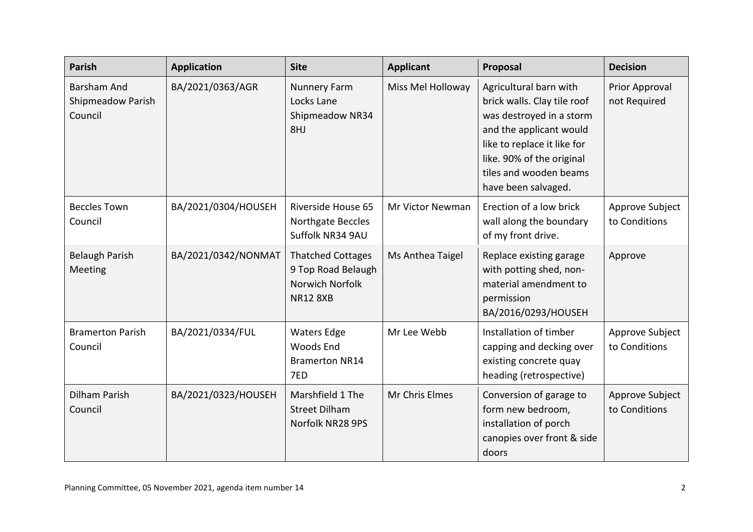| <b>Parish</b>                               | <b>Application</b>  | <b>Site</b>                                                                          | <b>Applicant</b>  | Proposal                                                                                                                                                                                                                  | <b>Decision</b>                  |
|---------------------------------------------|---------------------|--------------------------------------------------------------------------------------|-------------------|---------------------------------------------------------------------------------------------------------------------------------------------------------------------------------------------------------------------------|----------------------------------|
| Barsham And<br>Shipmeadow Parish<br>Council | BA/2021/0363/AGR    | <b>Nunnery Farm</b><br>Locks Lane<br>Shipmeadow NR34<br>8HJ                          | Miss Mel Holloway | Agricultural barn with<br>brick walls. Clay tile roof<br>was destroyed in a storm<br>and the applicant would<br>like to replace it like for<br>like. 90% of the original<br>tiles and wooden beams<br>have been salvaged. | Prior Approval<br>not Required   |
| <b>Beccles Town</b><br>Council              | BA/2021/0304/HOUSEH | Riverside House 65<br>Northgate Beccles<br>Suffolk NR34 9AU                          | Mr Victor Newman  | Erection of a low brick<br>wall along the boundary<br>of my front drive.                                                                                                                                                  | Approve Subject<br>to Conditions |
| Belaugh Parish<br>Meeting                   | BA/2021/0342/NONMAT | <b>Thatched Cottages</b><br>9 Top Road Belaugh<br>Norwich Norfolk<br><b>NR12 8XB</b> | Ms Anthea Taigel  | Replace existing garage<br>with potting shed, non-<br>material amendment to<br>permission<br>BA/2016/0293/HOUSEH                                                                                                          | Approve                          |
| <b>Bramerton Parish</b><br>Council          | BA/2021/0334/FUL    | <b>Waters Edge</b><br>Woods End<br><b>Bramerton NR14</b><br>7ED                      | Mr Lee Webb       | Installation of timber<br>capping and decking over<br>existing concrete quay<br>heading (retrospective)                                                                                                                   | Approve Subject<br>to Conditions |
| <b>Dilham Parish</b><br>Council             | BA/2021/0323/HOUSEH | Marshfield 1 The<br><b>Street Dilham</b><br>Norfolk NR28 9PS                         | Mr Chris Elmes    | Conversion of garage to<br>form new bedroom,<br>installation of porch<br>canopies over front & side<br>doors                                                                                                              | Approve Subject<br>to Conditions |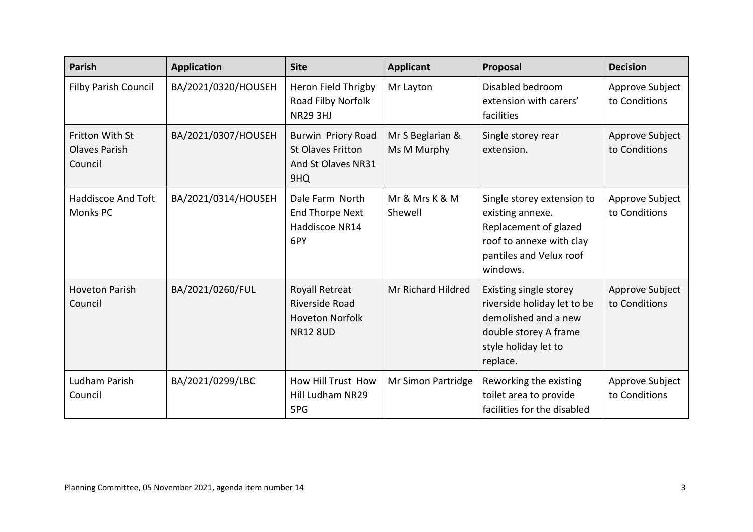| <b>Parish</b>                                             | <b>Application</b>  | <b>Site</b>                                                                                 | <b>Applicant</b>                | Proposal                                                                                                                                   | <b>Decision</b>                  |
|-----------------------------------------------------------|---------------------|---------------------------------------------------------------------------------------------|---------------------------------|--------------------------------------------------------------------------------------------------------------------------------------------|----------------------------------|
| Filby Parish Council                                      | BA/2021/0320/HOUSEH | Heron Field Thrigby<br>Road Filby Norfolk<br><b>NR29 3HJ</b>                                | Mr Layton                       | Disabled bedroom<br>extension with carers'<br>facilities                                                                                   | Approve Subject<br>to Conditions |
| <b>Fritton With St</b><br><b>Olaves Parish</b><br>Council | BA/2021/0307/HOUSEH | <b>Burwin Priory Road</b><br><b>St Olaves Fritton</b><br>And St Olaves NR31<br>9HQ          | Mr S Beglarian &<br>Ms M Murphy | Single storey rear<br>extension.                                                                                                           | Approve Subject<br>to Conditions |
| <b>Haddiscoe And Toft</b><br>Monks PC                     | BA/2021/0314/HOUSEH | Dale Farm North<br><b>End Thorpe Next</b><br>Haddiscoe NR14<br>6PY                          | Mr & Mrs K & M<br>Shewell       | Single storey extension to<br>existing annexe.<br>Replacement of glazed<br>roof to annexe with clay<br>pantiles and Velux roof<br>windows. | Approve Subject<br>to Conditions |
| <b>Hoveton Parish</b><br>Council                          | BA/2021/0260/FUL    | <b>Royall Retreat</b><br><b>Riverside Road</b><br><b>Hoveton Norfolk</b><br><b>NR12 8UD</b> | Mr Richard Hildred              | Existing single storey<br>riverside holiday let to be<br>demolished and a new<br>double storey A frame<br>style holiday let to<br>replace. | Approve Subject<br>to Conditions |
| Ludham Parish<br>Council                                  | BA/2021/0299/LBC    | How Hill Trust How<br>Hill Ludham NR29<br>5PG                                               | Mr Simon Partridge              | Reworking the existing<br>toilet area to provide<br>facilities for the disabled                                                            | Approve Subject<br>to Conditions |